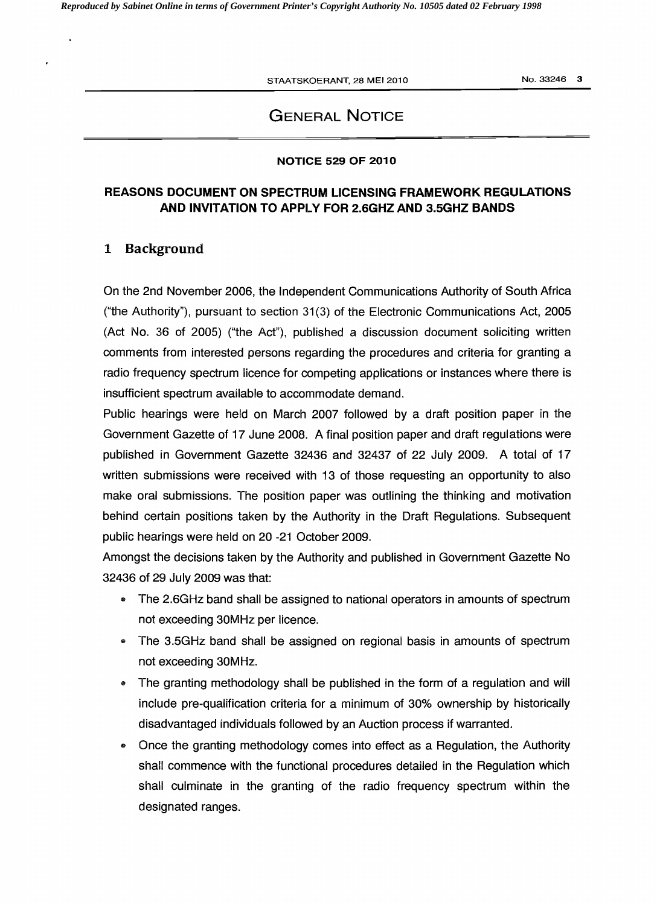STAATSKOERANT, 28 MEI 2010

No. 33246 3

## GENERAL NOTICE

#### NOTICE 529 OF 2010

### REASONS DOCUMENT ON SPECTRUM LICENSING FRAMEWORK REGULATIONS AND INVITATION TO APPLY FOR 2.6GHZ AND 3.SGHZ BANDS

#### 1 Background

On the 2nd November 2006, the Independent Communications Authority of South Africa ("the Authority"), pursuant to section  $31(3)$  of the Electronic Communications Act, 2005  $(Act No. 36 of 2005)$  ("the Act"), published a discussion document soliciting written comments from interested persons regarding the procedures and criteria for granting a radio frequency spectrum licence for competing applications or instances where there is insufficient spectrum available to accommodate demand.

Public hearings were held on March 2007 followed by a draft position paper in the Government Gazette of 17 June 2008. A final position paper and draft regulations were published in Government Gazette 32436 and 32437 of 22 July 2009. A total of 17 written submissions were received with 13 of those requesting an opportunity to also make oral submissions. The position paper was outlining the thinking and motivation behind certain positions taken by the Authority in the Draft Regulations. Subsequent public hearings were held on 20 -21 October 2009.

Amongst the decisions taken by the Authority and published in Government Gazette No 32436 of 29 July 2009 was that:

- The 2.6GHz band shall be assigned to national operators in amounts of spectrum not exceeding 30MHz per licence.
- The 3.5GHz band shall be assigned on regional basis in amounts of spectrum not exceeding 30MHz.
- The granting methodology shall be published in the form of a regulation and will include pre-qualification criteria for a minimum of 30% ownership by historically disadvantaged individuals followed by an Auction process if warranted.
- Once the granting methodology comes into effect as a Regulation, the Authority shall commence with the functional procedures detailed in the Regulation which shall culminate in the granting of the radio frequency spectrum within the designated ranges.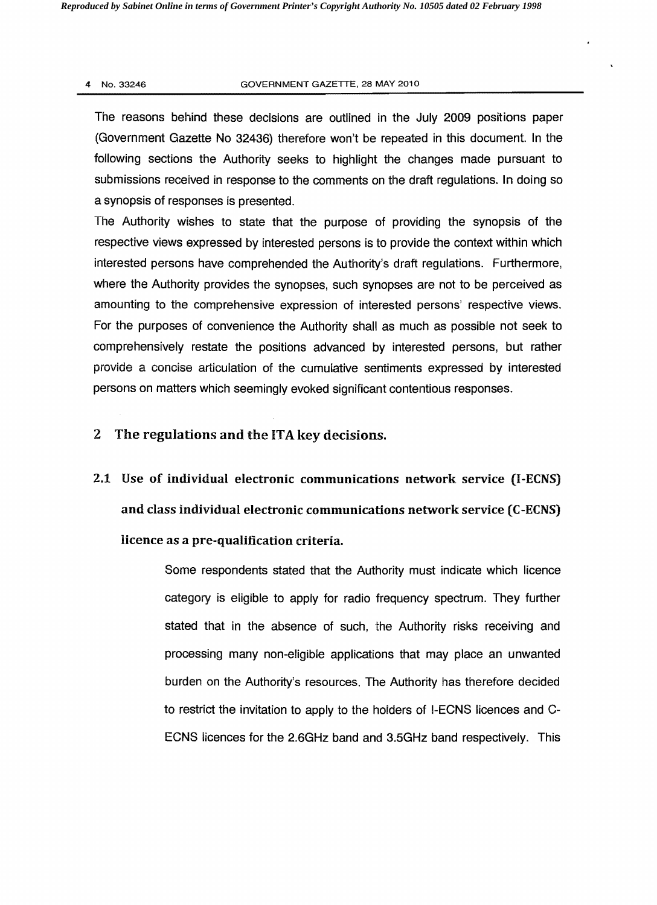#### 4 No. 33246 GOVERNMENT GAZETTE. 28 MAY 2010

The reasons behind these decisions are outlined in the July 2009 positions paper (Government Gazette No 32436) therefore won't be repeated in this document. In the following sections the Authority seeks to highlight the changes made pursuant to submissions received in response to the comments on the draft regulations. In doing so a synopsis of responses is presented.

The Authority wishes to state that the purpose of providing the synopsis of the respective views expressed by interested persons is to provide the context within which interested persons have comprehended the Authority's draft regulations. Furthermore, where the Authority provides the synopses, such synopses are not to be perceived as amounting to the comprehensive expression of interested persons' respective views. For the purposes of convenience the Authority shall as much as possible not seek to comprehensively restate the positions advanced by interested persons, but rather provide a concise articulation of the cumuiative sentiments expressed by interested persons on matters which seemingly evoked significant contentious responses.

### 2 The regulations and the ITA key decisions.

2.1 Use of individual electronic communications network service (I-ECNS) and class individual electronic communications network service (C-ECNS) licence as a pre-qualification criteria.

> Some respondents stated that the Authority must indicate which licence category is eligible to apply for radio frequency spectrum. They further stated that in the absence of such, the Authority risks receiving and processing many non-eligible applications that may place an unwanted burden on the Authority's resources. The Authority has therefore decided to restrict the invitation to apply to the holders of I-ECNS licences and C-ECNS licences for the 2.6GHz band and 3.5GHz band respectively. This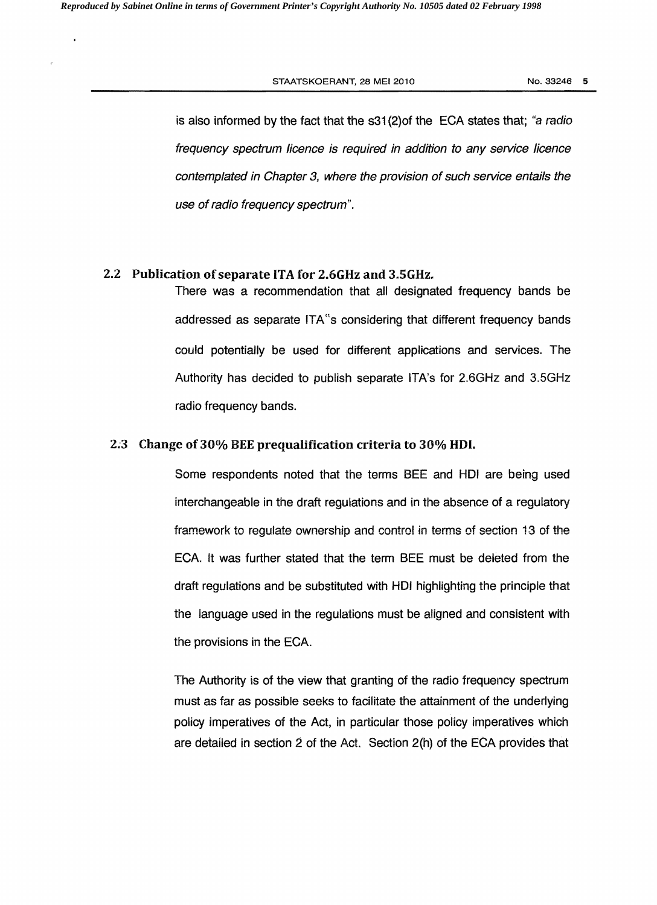is also informed by the fact that the s31 (2)of the EGA states that; "a radio frequency spectrum licence is required in addition to any service licence contemplated in Chapter 3, where the provision of such service entails the use of radio frequency spectrum".

#### 2.2 Publication ofseparate ITA for 2.6GHz and 3.SGHz.

There was a recommendation that all designated frequency bands be addressed as separate ITA"s considering that different frequency bands could potentially be used for different applications and services. The Authority has decided to publish separate ITA's for 2.6GHz and 3.5GHz radio frequency bands.

### 2.3 Change of 30% BEE prequalification criteria to 30% HDI.

Some respondents noted that the terms BEE and HDI are being used interchangeable in the draft regulations and in the absence of a regulatory framework to regulate ownership and control in terms of section 13 of the EGA. It was further stated that the term BEE must be deleted from the draft regulations and be substituted with HDI highlighting the principle that the language used in the regulations must be aligned and consistent with the provisions in the EGA.

The Authority is of the view that granting of the radio frequency spectrum must as far as possible seeks to facilitate the attainment of the underlying policy imperatives of the Act, in particular those policy imperatives which are detailed in section 2 of the Act. Section 2(h) of the ECA provides that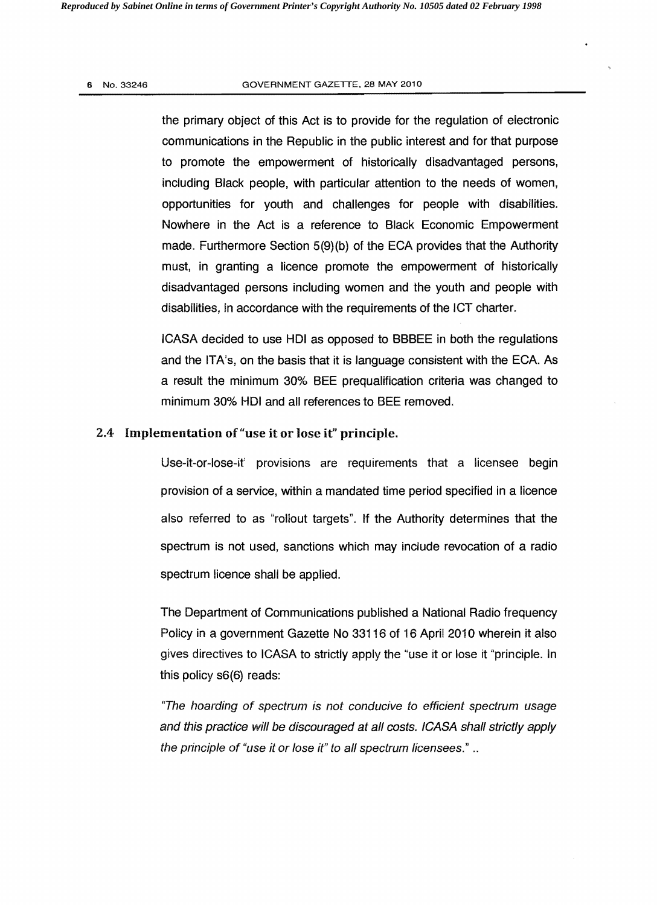#### 6 No.33246 GOVERNMENT GAZETTE, 28 MAY 2010

the primary object of this Act is to provide for the regulation of electronic communications in the Republic in the public interest and for that purpose to promote the empowerment of historically disadvantaged persons, including Black people, with particular attention to the needs of women, opportunities for youth and challenges for people with disabilities. Nowhere in the Act is a reference to Black Economic Empowerment made. Furthermore Section 5(9)(b) of the ECA provides that the Authority must, in granting a licence promote the empowerment of historically disadvantaged persons including women and the youth and people with disabilities, in accordance with the requirements of the ICT charter.

ICASA decided to use HOI as opposed to BBBEE in both the regulations and the ITA's, on the basis that it is language consistent with the ECA. As a result the minimum 30% BEE prequaltfication criteria was changed to minimum 30% HDI and all references to BEE removed.

#### 2.4 Implementation of "use it or lose it" principle.

Use-it-or-Iose-it' provisions are requirements that a licensee begin provision of a service, within a mandated time period specified in a licence also referred to as "rollout targets". If the Authority determines that the spectrum is not used, sanctions which may include revocation of a radio spectrum licence shall be applied.

The Department of Communications published a National Radio frequency Policy in a government Gazette No 33116 of 16 April 2010 wherein it also gives directives to ICASA to strictly apply the "use it or lose it "principle. In this policy s6(6) reads:

''The hoarding of spectrum is not conducive to efficient spectrum usage and this practice will be discouraged at all costs. ICASA shall strictly apply the principle of "use it or lose it" to all spectrum licensees." ..